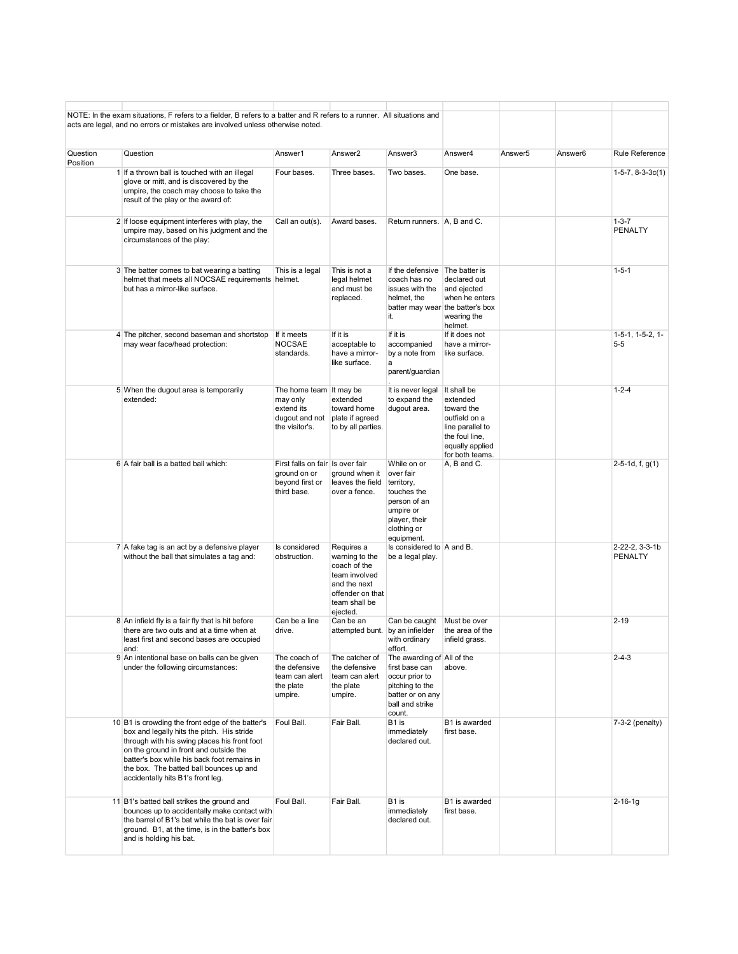|          | NOTE: In the exam situations, F refers to a fielder, B refers to a batter and R refers to a runner. All situations and<br>acts are legal, and no errors or mistakes are involved unless otherwise noted.                                                                                                                |                                                                                       |                                                                                                                                |                                                                                                                                    |                                                                                                                                    |         |         |                                     |
|----------|-------------------------------------------------------------------------------------------------------------------------------------------------------------------------------------------------------------------------------------------------------------------------------------------------------------------------|---------------------------------------------------------------------------------------|--------------------------------------------------------------------------------------------------------------------------------|------------------------------------------------------------------------------------------------------------------------------------|------------------------------------------------------------------------------------------------------------------------------------|---------|---------|-------------------------------------|
| Question | Question                                                                                                                                                                                                                                                                                                                | Answer1                                                                               | Answer2                                                                                                                        | Answer3                                                                                                                            | Answer4                                                                                                                            | Answer5 | Answer6 | <b>Rule Reference</b>               |
| Position | 1 If a thrown ball is touched with an illegal<br>glove or mitt, and is discovered by the<br>umpire, the coach may choose to take the<br>result of the play or the award of:                                                                                                                                             | Four bases.                                                                           | Three bases.                                                                                                                   | Two bases.                                                                                                                         | One base.                                                                                                                          |         |         | $1-5-7, 8-3-3c(1)$                  |
|          | 2 If loose equipment interferes with play, the<br>umpire may, based on his judgment and the<br>circumstances of the play:                                                                                                                                                                                               | Call an out(s).                                                                       | Award bases.                                                                                                                   | Return runners. A, B and C.                                                                                                        |                                                                                                                                    |         |         | $1 - 3 - 7$<br><b>PENALTY</b>       |
|          | 3 The batter comes to bat wearing a batting<br>helmet that meets all NOCSAE requirements helmet.<br>but has a mirror-like surface.                                                                                                                                                                                      | This is a legal                                                                       | This is not a<br>legal helmet<br>and must be<br>replaced.                                                                      | If the defensive The batter is<br>coach has no<br>issues with the<br>helmet, the<br>it.                                            | declared out<br>and ejected<br>when he enters<br>batter may wear the batter's box<br>wearing the<br>helmet.                        |         |         | $1 - 5 - 1$                         |
|          | 4 The pitcher, second baseman and shortstop<br>may wear face/head protection:                                                                                                                                                                                                                                           | If it meets<br>NOCSAE<br>standards.                                                   | If it is<br>acceptable to<br>have a mirror-<br>like surface.                                                                   | If it is<br>accompanied<br>by a note from<br>a<br>parent/guardian                                                                  | If it does not<br>have a mirror-<br>like surface.                                                                                  |         |         | $1-5-1$ , $1-5-2$ , $1-$<br>$5 - 5$ |
|          | 5 When the dugout area is temporarily<br>extended:                                                                                                                                                                                                                                                                      | The home team It may be<br>may only<br>extend its<br>dugout and not<br>the visitor's. | extended<br>toward home<br>plate if agreed<br>to by all parties.                                                               | It is never legal<br>to expand the<br>dugout area.                                                                                 | It shall be<br>extended<br>toward the<br>outfield on a<br>line parallel to<br>the foul line,<br>equally applied<br>for both teams. |         |         | $1 - 2 - 4$                         |
|          | 6 A fair ball is a batted ball which:                                                                                                                                                                                                                                                                                   | First falls on fair Is over fair<br>ground on or<br>beyond first or<br>third base.    | ground when it<br>leaves the field<br>over a fence.                                                                            | While on or<br>over fair<br>territory,<br>touches the<br>person of an<br>umpire or<br>player, their<br>clothing or<br>equipment.   | A, B and C.                                                                                                                        |         |         | $2-5-1d, f, g(1)$                   |
|          | 7 A fake tag is an act by a defensive player<br>without the ball that simulates a tag and:                                                                                                                                                                                                                              | Is considered<br>obstruction.                                                         | Requires a<br>warning to the<br>coach of the<br>team involved<br>and the next<br>offender on that<br>team shall be<br>ejected. | Is considered to A and B.<br>be a legal play.                                                                                      |                                                                                                                                    |         |         | 2-22-2, 3-3-1b<br><b>PENALTY</b>    |
|          | 8 An infield fly is a fair fly that is hit before<br>there are two outs and at a time when at<br>least first and second bases are occupied<br>and:                                                                                                                                                                      | Can be a line<br>drive.                                                               | Can be an<br>attempted bunt. by an infielder                                                                                   | Can be caught<br>with ordinary<br>effort.                                                                                          | Must be over<br>the area of the<br>infield grass.                                                                                  |         |         | $2 - 19$                            |
|          | 9 An intentional base on balls can be given<br>under the following circumstances:                                                                                                                                                                                                                                       | The coach of<br>the defensive<br>team can alert<br>the plate<br>umpire.               | The catcher of<br>the defensive<br>team can alert<br>the plate<br>umpire.                                                      | The awarding of All of the<br>first base can<br>occur prior to<br>pitching to the<br>batter or on any<br>ball and strike<br>count. | above.                                                                                                                             |         |         | $2 - 4 - 3$                         |
|          | 10 B1 is crowding the front edge of the batter's<br>box and legally hits the pitch. His stride<br>through with his swing places his front foot<br>on the ground in front and outside the<br>batter's box while his back foot remains in<br>the box. The batted ball bounces up and<br>accidentally hits B1's front leg. | Foul Ball.                                                                            | Fair Ball.                                                                                                                     | B1 is<br>immediately<br>declared out.                                                                                              | B1 is awarded<br>first base.                                                                                                       |         |         | 7-3-2 (penalty)                     |
|          | 11 B1's batted ball strikes the ground and<br>bounces up to accidentally make contact with<br>the barrel of B1's bat while the bat is over fair<br>ground. B1, at the time, is in the batter's box<br>and is holding his bat.                                                                                           | Foul Ball.                                                                            | Fair Ball.                                                                                                                     | B1 is<br>immediately<br>declared out.                                                                                              | B1 is awarded<br>first base.                                                                                                       |         |         | $2 - 16 - 1g$                       |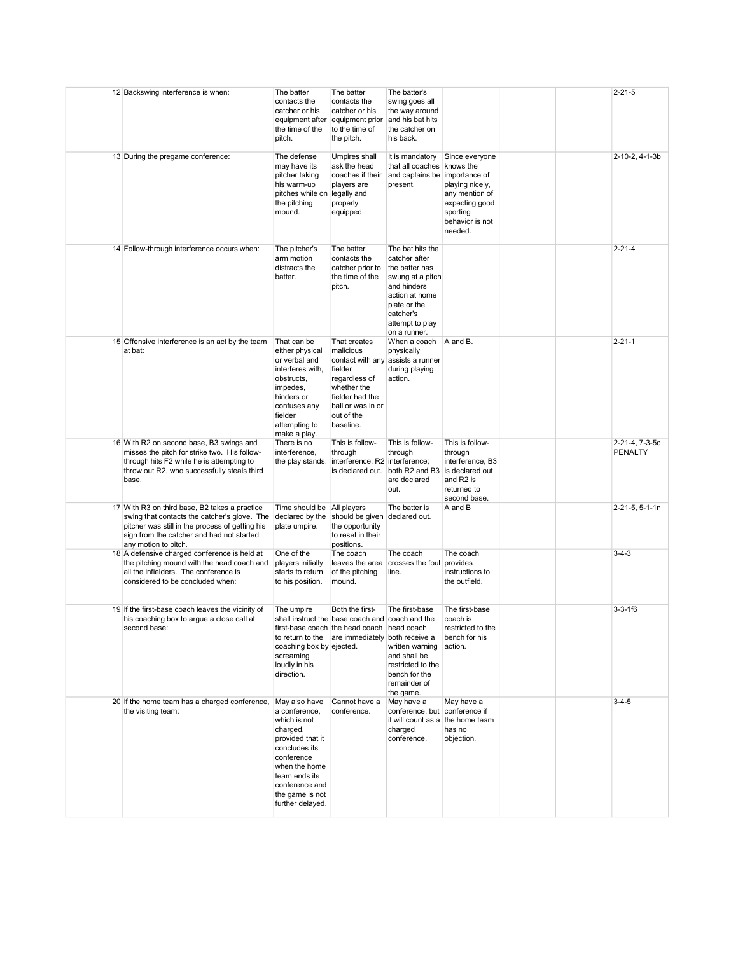| 12 Backswing interference is when:                                                                                                                                                                                    | The batter<br>contacts the<br>catcher or his<br>equipment after<br>the time of the<br>pitch.                                                                                                             | The batter<br>contacts the<br>catcher or his<br>equipment prior<br>to the time of<br>the pitch.                                                                       | The batter's<br>swing goes all<br>the way around<br>and his bat hits<br>the catcher on<br>his back.                                                                      |                                                                                                                 |  | $2 - 21 - 5$                     |
|-----------------------------------------------------------------------------------------------------------------------------------------------------------------------------------------------------------------------|----------------------------------------------------------------------------------------------------------------------------------------------------------------------------------------------------------|-----------------------------------------------------------------------------------------------------------------------------------------------------------------------|--------------------------------------------------------------------------------------------------------------------------------------------------------------------------|-----------------------------------------------------------------------------------------------------------------|--|----------------------------------|
| 13 During the pregame conference:                                                                                                                                                                                     | The defense<br>may have its<br>pitcher taking<br>his warm-up<br>pitches while on legally and<br>the pitching<br>mound.                                                                                   | Umpires shall<br>ask the head<br>coaches if their<br>players are<br>properly<br>equipped.                                                                             | It is mandatory<br>that all coaches knows the<br>and captains be importance of<br>present.                                                                               | Since everyone<br>playing nicely,<br>any mention of<br>expecting good<br>sporting<br>behavior is not<br>needed. |  | 2-10-2, 4-1-3b                   |
| 14 Follow-through interference occurs when:                                                                                                                                                                           | The pitcher's<br>arm motion<br>distracts the<br>batter.                                                                                                                                                  | The batter<br>contacts the<br>catcher prior to<br>the time of the<br>pitch.                                                                                           | The bat hits the<br>catcher after<br>the batter has<br>swung at a pitch<br>and hinders<br>action at home<br>plate or the<br>catcher's<br>attempt to play<br>on a runner. |                                                                                                                 |  | $2 - 21 - 4$                     |
| 15 Offensive interference is an act by the team<br>at bat:                                                                                                                                                            | That can be<br>either physical<br>or verbal and<br>interferes with.<br>obstructs,<br>impedes,<br>hinders or<br>confuses any<br>fielder<br>attempting to<br>make a play.                                  | That creates<br>malicious<br>fielder<br>regardless of<br>whether the<br>fielder had the<br>ball or was in or<br>out of the<br>baseline.                               | When a coach<br>physically<br>contact with any assists a runner<br>during playing<br>action.                                                                             | A and B.                                                                                                        |  | $2 - 21 - 1$                     |
| 16 With R2 on second base, B3 swings and<br>misses the pitch for strike two. His follow-<br>through hits F2 while he is attempting to<br>throw out R2, who successfully steals third<br>base.                         | There is no<br>interference,                                                                                                                                                                             | This is follow-<br>through<br>the play stands. interference; R2 interference;                                                                                         | This is follow-<br>through<br>is declared out. both R2 and B3 is declared out<br>are declared<br>out.                                                                    | This is follow-<br>through<br>interference, B3<br>and R2 is<br>returned to<br>second base.                      |  | 2-21-4, 7-3-5c<br><b>PENALTY</b> |
| 17 With R3 on third base, B2 takes a practice<br>swing that contacts the catcher's glove. The<br>pitcher was still in the process of getting his<br>sign from the catcher and had not started<br>any motion to pitch. | Time should be<br>declared by the<br>plate umpire.                                                                                                                                                       | All players<br>should be given declared out.<br>the opportunity<br>to reset in their<br>positions.                                                                    | The batter is                                                                                                                                                            | A and B                                                                                                         |  | 2-21-5, 5-1-1n                   |
| 18 A defensive charged conference is held at<br>the pitching mound with the head coach and<br>all the infielders. The conference is<br>considered to be concluded when:                                               | One of the<br>players initially<br>starts to return<br>to his position.                                                                                                                                  | The coach<br>of the pitching<br>mound.                                                                                                                                | The coach<br>leaves the area crosses the foul provides<br>line.                                                                                                          | The coach<br>instructions to<br>the outfield.                                                                   |  | $3 - 4 - 3$                      |
| 19 If the first-base coach leaves the vicinity of<br>his coaching box to argue a close call at<br>second base:                                                                                                        | The umpire<br>coaching box by ejected.<br>screaming<br>loudly in his<br>direction.                                                                                                                       | Both the first-<br>shall instruct the base coach and coach and the<br>first-base coach the head coach   head coach<br>to return to the are immediately both receive a | The first-base<br>written warning<br>and shall be<br>restricted to the<br>bench for the<br>remainder of<br>the game.                                                     | The first-base<br>coach is<br>restricted to the<br>bench for his<br>action.                                     |  | $3 - 3 - 1f6$                    |
| 20 If the home team has a charged conference,<br>the visiting team:                                                                                                                                                   | May also have<br>a conference,<br>which is not<br>charged,<br>provided that it<br>concludes its<br>conference<br>when the home<br>team ends its<br>conference and<br>the game is not<br>further delayed. | Cannot have a<br>conference.                                                                                                                                          | May have a<br>conference, but conference if<br>it will count as a the home team<br>charged<br>conference.                                                                | May have a<br>has no<br>objection.                                                                              |  | $3 - 4 - 5$                      |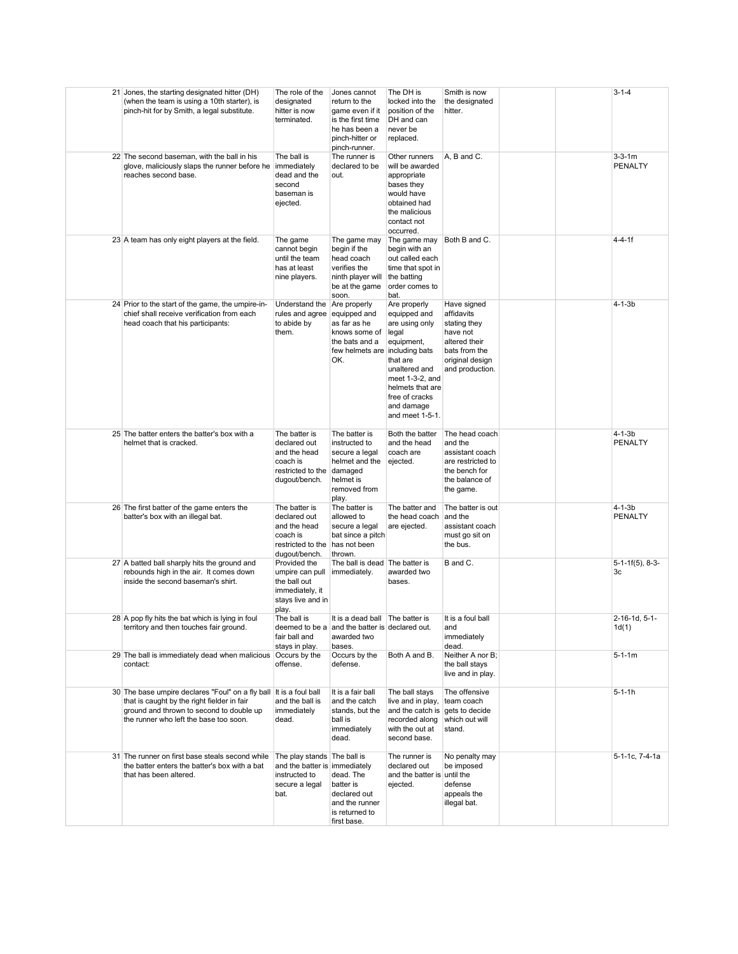| 21 Jones, the starting designated hitter (DH)<br>(when the team is using a 10th starter), is<br>pinch-hit for by Smith, a legal substitute.                                                             | The role of the<br>designated<br>hitter is now<br>terminated.                                                | Jones cannot<br>return to the<br>game even if it<br>is the first time<br>he has been a<br>pinch-hitter or<br>pinch-runner. | The DH is<br>locked into the<br>position of the<br>DH and can<br>never be<br>replaced.                                                                                                       | Smith is now<br>the designated<br>hitter.                                                                                     |  | $3 - 1 - 4$                    |
|---------------------------------------------------------------------------------------------------------------------------------------------------------------------------------------------------------|--------------------------------------------------------------------------------------------------------------|----------------------------------------------------------------------------------------------------------------------------|----------------------------------------------------------------------------------------------------------------------------------------------------------------------------------------------|-------------------------------------------------------------------------------------------------------------------------------|--|--------------------------------|
| 22 The second baseman, with the ball in his<br>glove, maliciously slaps the runner before he<br>reaches second base.                                                                                    | The ball is<br>immediately<br>dead and the<br>second<br>baseman is<br>ejected.                               | The runner is<br>declared to be<br>out.                                                                                    | Other runners<br>will be awarded<br>appropriate<br>bases they<br>would have<br>obtained had<br>the malicious<br>contact not<br>occurred.                                                     | A, B and C.                                                                                                                   |  | $3 - 3 - 1m$<br><b>PENALTY</b> |
| 23 A team has only eight players at the field.                                                                                                                                                          | The game<br>cannot begin<br>until the team<br>has at least<br>nine players.                                  | The game may<br>begin if the<br>head coach<br>verifies the<br>ninth player will<br>be at the game<br>soon.                 | The game may<br>begin with an<br>out called each<br>time that spot in<br>the batting<br>order comes to<br>bat.                                                                               | Both B and C.                                                                                                                 |  | $4 - 4 - 1f$                   |
| 24 Prior to the start of the game, the umpire-in-<br>chief shall receive verification from each<br>head coach that his participants:                                                                    | Understand the Are properly<br>rules and agree equipped and<br>to abide by<br>them.                          | as far as he<br>knows some of<br>the bats and a<br>few helmets are including bats<br>OK.                                   | Are properly<br>equipped and<br>are using only<br>legal<br>equipment,<br>that are<br>unaltered and<br>meet 1-3-2, and<br>helmets that are<br>free of cracks<br>and damage<br>and meet 1-5-1. | Have signed<br>affidavits<br>stating they<br>have not<br>altered their<br>bats from the<br>original design<br>and production. |  | $4 - 1 - 3b$                   |
| 25 The batter enters the batter's box with a<br>helmet that is cracked.                                                                                                                                 | The batter is<br>declared out<br>and the head<br>coach is<br>restricted to the damaged<br>dugout/bench.      | The batter is<br>instructed to<br>secure a legal<br>helmet and the<br>helmet is<br>removed from<br>play.                   | Both the batter<br>and the head<br>coach are<br>ejected.                                                                                                                                     | The head coach<br>and the<br>assistant coach<br>are restricted to<br>the bench for<br>the balance of<br>the game.             |  | $4 - 1 - 3b$<br><b>PENALTY</b> |
| 26 The first batter of the game enters the<br>batter's box with an illegal bat.                                                                                                                         | The batter is<br>declared out<br>and the head<br>coach is<br>restricted to the has not been<br>dugout/bench. | The batter is<br>allowed to<br>secure a legal<br>bat since a pitch<br>thrown.                                              | The batter and<br>the head coach<br>are ejected.                                                                                                                                             | The batter is out<br>and the<br>assistant coach<br>must go sit on<br>the bus.                                                 |  | $4 - 1 - 3b$<br><b>PENALTY</b> |
| 27 A batted ball sharply hits the ground and<br>rebounds high in the air. It comes down<br>inside the second baseman's shirt.                                                                           | Provided the<br>umpire can pull<br>the ball out<br>immediately, it<br>stays live and in<br>play.             | The ball is dead The batter is<br>immediately.                                                                             | awarded two<br>bases.                                                                                                                                                                        | B and C.                                                                                                                      |  | $5-1-1f(5)$ , 8-3-<br>3c       |
| 28 A pop fly hits the bat which is lying in foul<br>territory and then touches fair ground.                                                                                                             | The ball is<br>deemed to be a<br>fair ball and<br>stays in play.                                             | It is a dead ball The batter is<br>and the batter is declared out.<br>awarded two<br>bases.                                |                                                                                                                                                                                              | It is a foul ball<br>and<br>immediately<br>dead.                                                                              |  | 2-16-1d. 5-1-<br>1d(1)         |
| 29 The ball is immediately dead when malicious Occurs by the<br>contact:                                                                                                                                | offense.                                                                                                     | Occurs by the<br>defense.                                                                                                  | Both A and B.                                                                                                                                                                                | Neither A nor B;<br>the ball stays<br>live and in play.                                                                       |  | $5 - 1 - 1m$                   |
| 30 The base umpire declares "Foul" on a fly ball It is a foul ball<br>that is caught by the right fielder in fair<br>ground and thrown to second to double up<br>the runner who left the base too soon. | and the ball is<br>immediately<br>dead.                                                                      | It is a fair ball<br>and the catch<br>stands, but the<br>ball is<br>immediately<br>dead.                                   | The ball stays<br>live and in play,<br>and the catch is gets to decide<br>recorded along<br>with the out at<br>second base.                                                                  | The offensive<br>team coach<br>which out will<br>stand.                                                                       |  | $5 - 1 - 1h$                   |
| 31 The runner on first base steals second while<br>the batter enters the batter's box with a bat<br>that has been altered.                                                                              | The play stands The ball is<br>and the batter is immediately<br>instructed to<br>secure a legal<br>bat.      | dead. The<br>batter is<br>declared out<br>and the runner<br>is returned to<br>first base.                                  | The runner is<br>declared out<br>and the batter is until the<br>ejected.                                                                                                                     | No penalty may<br>be imposed<br>defense<br>appeals the<br>illegal bat.                                                        |  | 5-1-1c, 7-4-1a                 |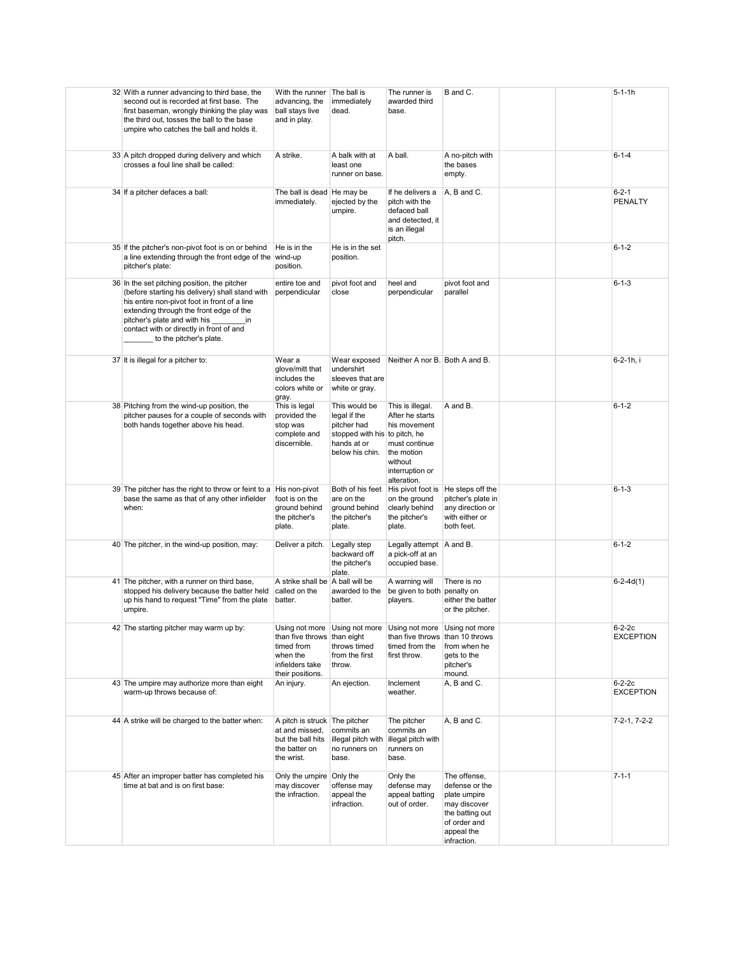| 32 With a runner advancing to third base, the<br>second out is recorded at first base. The<br>first baseman, wrongly thinking the play was<br>the third out, tosses the ball to the base<br>umpire who catches the ball and holds it.                                                                   | With the runner<br>advancing, the<br>ball stays live<br>and in play.                                | The ball is<br>immediately<br>dead.                                                                             | The runner is<br>awarded third<br>base.                                                                                         | B and C.                                                                                                                       | $5 - 1 - 1h$                  |
|---------------------------------------------------------------------------------------------------------------------------------------------------------------------------------------------------------------------------------------------------------------------------------------------------------|-----------------------------------------------------------------------------------------------------|-----------------------------------------------------------------------------------------------------------------|---------------------------------------------------------------------------------------------------------------------------------|--------------------------------------------------------------------------------------------------------------------------------|-------------------------------|
| 33 A pitch dropped during delivery and which<br>crosses a foul line shall be called:                                                                                                                                                                                                                    | A strike.                                                                                           | A balk with at<br>least one<br>runner on base.                                                                  | A ball.                                                                                                                         | A no-pitch with<br>the bases<br>empty.                                                                                         | $6 - 1 - 4$                   |
| 34 If a pitcher defaces a ball:                                                                                                                                                                                                                                                                         | The ball is dead He may be<br>immediately.                                                          | ejected by the<br>umpire.                                                                                       | If he delivers a<br>pitch with the<br>defaced ball<br>and detected, it<br>is an illegal<br>pitch.                               | A, B and C.                                                                                                                    | $6 - 2 - 1$<br><b>PENALTY</b> |
| 35 If the pitcher's non-pivot foot is on or behind<br>a line extending through the front edge of the wind-up<br>pitcher's plate:                                                                                                                                                                        | He is in the<br>position.                                                                           | He is in the set<br>position.                                                                                   |                                                                                                                                 |                                                                                                                                | $6 - 1 - 2$                   |
| 36 In the set pitching position, the pitcher<br>(before starting his delivery) shall stand with<br>his entire non-pivot foot in front of a line<br>extending through the front edge of the<br>pitcher's plate and with his<br>in<br>contact with or directly in front of and<br>to the pitcher's plate. | entire toe and<br>perpendicular                                                                     | pivot foot and<br>close                                                                                         | heel and<br>perpendicular                                                                                                       | pivot foot and<br>parallel                                                                                                     | $6 - 1 - 3$                   |
| 37 It is illegal for a pitcher to:                                                                                                                                                                                                                                                                      | Wear a<br>glove/mitt that<br>includes the<br>colors white or<br>gray.                               | Wear exposed<br>undershirt<br>sleeves that are<br>white or gray.                                                | Neither A nor B. Both A and B.                                                                                                  |                                                                                                                                | 6-2-1h, i                     |
| 38 Pitching from the wind-up position, the<br>pitcher pauses for a couple of seconds with<br>both hands together above his head.                                                                                                                                                                        | This is legal<br>provided the<br>stop was<br>complete and<br>discernible.                           | This would be<br>legal if the<br>pitcher had<br>stopped with his to pitch, he<br>hands at or<br>below his chin. | This is illegal.<br>After he starts<br>his movement<br>must continue<br>the motion<br>without<br>interruption or<br>alteration. | A and B.                                                                                                                       | $6 - 1 - 2$                   |
| 39 The pitcher has the right to throw or feint to a His non-pivot<br>base the same as that of any other infielder<br>when:                                                                                                                                                                              | foot is on the<br>ground behind<br>the pitcher's<br>plate.                                          | Both of his feet<br>are on the<br>ground behind<br>the pitcher's<br>plate.                                      | His pivot foot is He steps off the<br>on the ground<br>clearly behind<br>the pitcher's<br>plate.                                | pitcher's plate in<br>any direction or<br>with either or<br>both feet.                                                         | $6 - 1 - 3$                   |
| 40 The pitcher, in the wind-up position, may:                                                                                                                                                                                                                                                           | Deliver a pitch.                                                                                    | Legally step<br>backward off<br>the pitcher's<br>plate.                                                         | Legally attempt<br>a pick-off at an<br>occupied base.                                                                           | A and B.                                                                                                                       | $6 - 1 - 2$                   |
| 41 The pitcher, with a runner on third base,<br>stopped his delivery because the batter held<br>up his hand to request "Time" from the plate<br>umpire.                                                                                                                                                 | A strike shall be A ball will be<br>called on the<br>batter.                                        | awarded to the<br>batter.                                                                                       | A warning will<br>be given to both penalty on<br>players.                                                                       | There is no<br>either the batter<br>or the pitcher.                                                                            | $6-2-4d(1)$                   |
| 42 The starting pitcher may warm up by:                                                                                                                                                                                                                                                                 | than five throws than eight<br>timed from<br>when the<br>infielders take<br>their positions.        | Using not more Using not more Using not more<br>throws timed<br>from the first<br>throw.                        | than five throws than 10 throws<br>timed from the<br>first throw.                                                               | Using not more<br>from when he<br>gets to the<br>pitcher's<br>mound.                                                           | $6-2-2c$<br><b>EXCEPTION</b>  |
| 43 The umpire may authorize more than eight<br>warm-up throws because of:                                                                                                                                                                                                                               | An injury.                                                                                          | An ejection.                                                                                                    | Inclement<br>weather.                                                                                                           | A, B and C.                                                                                                                    | $6-2-2c$<br><b>EXCEPTION</b>  |
| 44 A strike will be charged to the batter when:                                                                                                                                                                                                                                                         | A pitch is struck The pitcher<br>at and missed,<br>but the ball hits<br>the batter on<br>the wrist. | commits an<br>illegal pitch with<br>no runners on<br>base.                                                      | The pitcher<br>commits an<br>illegal pitch with<br>runners on<br>base.                                                          | A, B and C.                                                                                                                    | 7-2-1, 7-2-2                  |
| 45 After an improper batter has completed his<br>time at bat and is on first base:                                                                                                                                                                                                                      | Only the umpire Only the<br>may discover<br>the infraction.                                         | offense may<br>appeal the<br>infraction.                                                                        | Only the<br>defense may<br>appeal batting<br>out of order.                                                                      | The offense,<br>defense or the<br>plate umpire<br>may discover<br>the batting out<br>of order and<br>appeal the<br>infraction. | $7 - 1 - 1$                   |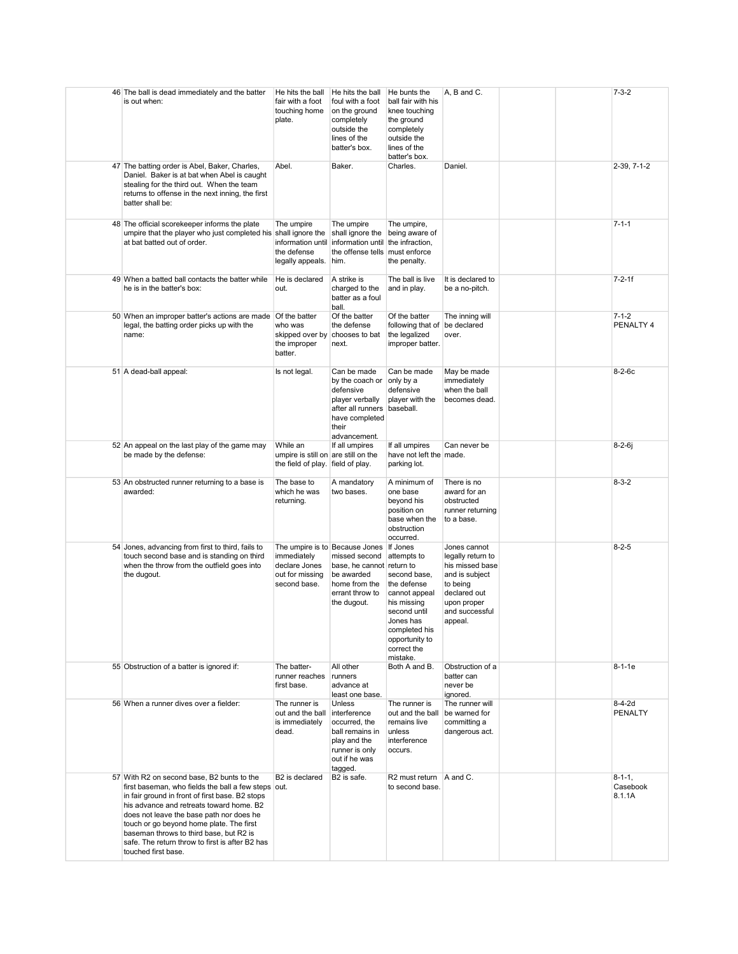| 46 The ball is dead immediately and the batter<br>is out when:                                                                                                                                                                                                                                                                                                                                                | He hits the ball<br>fair with a foot<br>touching home<br>plate.                      | He hits the ball<br>foul with a foot<br>on the ground<br>completely<br>outside the<br>lines of the<br>batter's box.                                    | He bunts the<br>ball fair with his<br>knee touching<br>the ground<br>completely<br>outside the<br>lines of the<br>batter's box.                                       | A, B and C.                                                                                                                                    |  | $7 - 3 - 2$                         |
|---------------------------------------------------------------------------------------------------------------------------------------------------------------------------------------------------------------------------------------------------------------------------------------------------------------------------------------------------------------------------------------------------------------|--------------------------------------------------------------------------------------|--------------------------------------------------------------------------------------------------------------------------------------------------------|-----------------------------------------------------------------------------------------------------------------------------------------------------------------------|------------------------------------------------------------------------------------------------------------------------------------------------|--|-------------------------------------|
| 47 The batting order is Abel, Baker, Charles,<br>Daniel. Baker is at bat when Abel is caught<br>stealing for the third out. When the team<br>returns to offense in the next inning, the first<br>batter shall be:                                                                                                                                                                                             | Abel.                                                                                | Baker.                                                                                                                                                 | Charles.                                                                                                                                                              | Daniel.                                                                                                                                        |  | 2-39, 7-1-2                         |
| 48 The official scorekeeper informs the plate<br>umpire that the player who just completed his shall ignore the<br>at bat batted out of order.                                                                                                                                                                                                                                                                | The umpire<br>information until<br>the defense<br>legally appeals. him.              | The umpire<br>shall ignore the<br>information until<br>the offense tells must enforce                                                                  | The umpire,<br>being aware of<br>the infraction,<br>the penalty.                                                                                                      |                                                                                                                                                |  | $7 - 1 - 1$                         |
| 49 When a batted ball contacts the batter while<br>he is in the batter's box:                                                                                                                                                                                                                                                                                                                                 | He is declared<br>out.                                                               | A strike is<br>charged to the<br>batter as a foul<br>ball.                                                                                             | The ball is live<br>and in play.                                                                                                                                      | It is declared to<br>be a no-pitch.                                                                                                            |  | $7 - 2 - 1f$                        |
| 50 When an improper batter's actions are made Of the batter<br>legal, the batting order picks up with the<br>name:                                                                                                                                                                                                                                                                                            | who was<br>skipped over by<br>the improper<br>batter.                                | Of the batter<br>the defense<br>chooses to bat<br>next.                                                                                                | Of the batter<br>following that of be declared<br>the legalized<br>improper batter.                                                                                   | The inning will<br>over.                                                                                                                       |  | $7 - 1 - 2$<br>PENALTY 4            |
| 51 A dead-ball appeal:                                                                                                                                                                                                                                                                                                                                                                                        | Is not legal.                                                                        | Can be made<br>by the coach or<br>defensive<br>player verbally<br>after all runners baseball.<br>have completed<br>their<br>advancement.               | Can be made<br>only by a<br>defensive<br>player with the                                                                                                              | May be made<br>immediately<br>when the ball<br>becomes dead.                                                                                   |  | $8-2-6c$                            |
| 52 An appeal on the last play of the game may<br>be made by the defense:                                                                                                                                                                                                                                                                                                                                      | While an<br>umpire is still on are still on the<br>the field of play. field of play. | If all umpires                                                                                                                                         | If all umpires<br>have not left the made.<br>parking lot.                                                                                                             | Can never be                                                                                                                                   |  | $8 - 2 - 6j$                        |
| 53 An obstructed runner returning to a base is<br>awarded:                                                                                                                                                                                                                                                                                                                                                    | The base to<br>which he was<br>returning.                                            | A mandatory<br>two bases.                                                                                                                              | A minimum of<br>one base<br>beyond his<br>position on<br>base when the<br>obstruction<br>occurred.                                                                    | There is no<br>award for an<br>obstructed<br>runner returning<br>to a base.                                                                    |  | $8 - 3 - 2$                         |
| 54 Jones, advancing from first to third, fails to<br>touch second base and is standing on third<br>when the throw from the outfield goes into<br>the dugout.                                                                                                                                                                                                                                                  | immediately<br>declare Jones<br>out for missing<br>second base.                      | The umpire is to Because Jones If Jones<br>missed second<br>base, he cannot return to<br>be awarded<br>home from the<br>errant throw to<br>the dugout. | attempts to<br>second base,<br>the defense<br>cannot appeal<br>his missing<br>second until<br>Jones has<br>completed his<br>opportunity to<br>correct the<br>mistake. | Jones cannot<br>legally return to<br>his missed base<br>and is subject<br>to being<br>declared out<br>upon proper<br>and successful<br>appeal. |  | $8 - 2 - 5$                         |
| 55 Obstruction of a batter is ignored if:                                                                                                                                                                                                                                                                                                                                                                     | The batter-<br>runner reaches runners<br>first base.                                 | All other<br>advance at<br>least one base.                                                                                                             | Both A and B.                                                                                                                                                         | Obstruction of a<br>batter can<br>never be<br>ignored.                                                                                         |  | $8 - 1 - 1e$                        |
| 56 When a runner dives over a fielder:                                                                                                                                                                                                                                                                                                                                                                        | The runner is<br>out and the ball interference<br>is immediately<br>dead.            | <b>Unless</b><br>occurred, the<br>ball remains in<br>play and the<br>runner is only<br>out if he was<br>tagged.                                        | The runner is<br>out and the ball<br>remains live<br>unless<br>interference<br>occurs.                                                                                | The runner will<br>be warned for<br>committing a<br>dangerous act.                                                                             |  | $8 - 4 - 2d$<br>PENALTY             |
| 57 With R2 on second base, B2 bunts to the<br>first baseman, who fields the ball a few steps out.<br>in fair ground in front of first base. B2 stops<br>his advance and retreats toward home. B2<br>does not leave the base path nor does he<br>touch or go beyond home plate. The first<br>baseman throws to third base, but R2 is<br>safe. The return throw to first is after B2 has<br>touched first base. | B2 is declared                                                                       | B <sub>2</sub> is safe.                                                                                                                                | $R2$ must return $A$ and C.<br>to second base.                                                                                                                        |                                                                                                                                                |  | $8 - 1 - 1$ ,<br>Casebook<br>8.1.1A |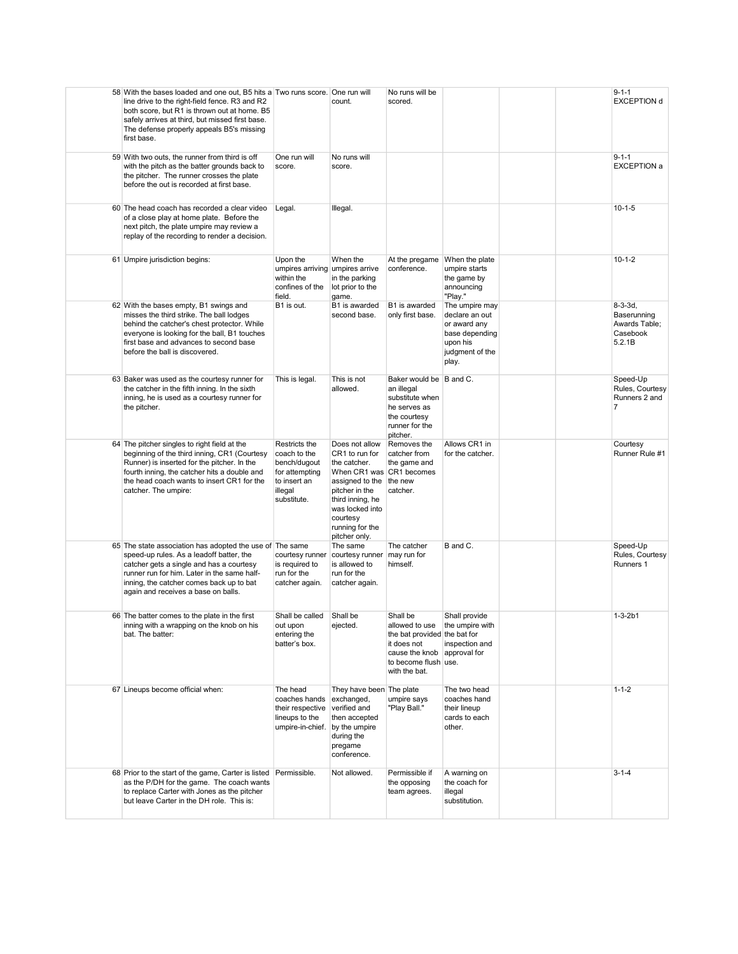| 58 With the bases loaded and one out, B5 hits a Two runs score. One run will<br>line drive to the right-field fence. R3 and R2<br>both score, but R1 is thrown out at home. B5<br>safely arrives at third, but missed first base.<br>The defense properly appeals B5's missing<br>first base. |                                                                                                           | count.                                                                                                                                                                                                           | No runs will be<br>scored.                                                                                                                                          |                                                                                                            |  | $9 - 1 - 1$<br><b>EXCEPTION d</b>                               |
|-----------------------------------------------------------------------------------------------------------------------------------------------------------------------------------------------------------------------------------------------------------------------------------------------|-----------------------------------------------------------------------------------------------------------|------------------------------------------------------------------------------------------------------------------------------------------------------------------------------------------------------------------|---------------------------------------------------------------------------------------------------------------------------------------------------------------------|------------------------------------------------------------------------------------------------------------|--|-----------------------------------------------------------------|
| 59 With two outs, the runner from third is off<br>with the pitch as the batter grounds back to<br>the pitcher. The runner crosses the plate<br>before the out is recorded at first base.                                                                                                      | One run will<br>score.                                                                                    | No runs will<br>score.                                                                                                                                                                                           |                                                                                                                                                                     |                                                                                                            |  | $9 - 1 - 1$<br><b>EXCEPTION a</b>                               |
| 60 The head coach has recorded a clear video<br>of a close play at home plate. Before the<br>next pitch, the plate umpire may review a<br>replay of the recording to render a decision.                                                                                                       | Legal.                                                                                                    | Illegal.                                                                                                                                                                                                         |                                                                                                                                                                     |                                                                                                            |  | $10 - 1 - 5$                                                    |
| 61 Umpire jurisdiction begins:                                                                                                                                                                                                                                                                | Upon the<br>umpires arriving umpires arrive<br>within the<br>confines of the<br>field.                    | When the<br>in the parking<br>lot prior to the<br>game.                                                                                                                                                          | At the pregame<br>conference.                                                                                                                                       | When the plate<br>umpire starts<br>the game by<br>announcing<br>"Play."                                    |  | $10 - 1 - 2$                                                    |
| 62 With the bases empty, B1 swings and<br>misses the third strike. The ball lodges<br>behind the catcher's chest protector. While<br>everyone is looking for the ball, B1 touches<br>first base and advances to second base<br>before the ball is discovered.                                 | B1 is out.                                                                                                | B1 is awarded<br>second base.                                                                                                                                                                                    | B1 is awarded<br>only first base.                                                                                                                                   | The umpire may<br>declare an out<br>or award any<br>base depending<br>upon his<br>judgment of the<br>play. |  | $8-3-3d.$<br>Baserunning<br>Awards Table;<br>Casebook<br>5.2.1B |
| 63 Baker was used as the courtesy runner for<br>the catcher in the fifth inning. In the sixth<br>inning, he is used as a courtesy runner for<br>the pitcher.                                                                                                                                  | This is legal.                                                                                            | This is not<br>allowed.                                                                                                                                                                                          | Baker would be B and C.<br>an illegal<br>substitute when<br>he serves as<br>the courtesy<br>runner for the<br>pitcher.                                              |                                                                                                            |  | Speed-Up<br>Rules, Courtesy<br>Runners 2 and<br>$\overline{7}$  |
| 64 The pitcher singles to right field at the<br>beginning of the third inning, CR1 (Courtesy<br>Runner) is inserted for the pitcher. In the<br>fourth inning, the catcher hits a double and<br>the head coach wants to insert CR1 for the<br>catcher. The umpire:                             | Restricts the<br>coach to the<br>bench/dugout<br>for attempting<br>to insert an<br>illegal<br>substitute. | Does not allow<br>CR1 to run for<br>the catcher.<br>When CR1 was CR1 becomes<br>assigned to the the new<br>pitcher in the<br>third inning, he<br>was locked into<br>courtesy<br>running for the<br>pitcher only. | Removes the<br>catcher from<br>the game and<br>catcher.                                                                                                             | Allows CR1 in<br>for the catcher.                                                                          |  | Courtesy<br>Runner Rule #1                                      |
| 65 The state association has adopted the use of The same<br>speed-up rules. As a leadoff batter, the<br>catcher gets a single and has a courtesy<br>runner run for him. Later in the same half-<br>inning, the catcher comes back up to bat<br>again and receives a base on balls.            | is required to<br>run for the<br>catcher again.                                                           | The same<br>courtesy runner courtesy runner may run for<br>is allowed to<br>run for the<br>catcher again.                                                                                                        | The catcher<br>himself.                                                                                                                                             | B and C.                                                                                                   |  | Speed-Up<br>Rules, Courtesy<br>Runners 1                        |
| 66 The batter comes to the plate in the first<br>inning with a wrapping on the knob on his<br>bat. The batter:                                                                                                                                                                                | Shall be called<br>out upon<br>entering the<br>batter's box.                                              | Shall be<br>ejected.                                                                                                                                                                                             | Shall be<br>allowed to use   the umpire with<br>the bat provided the bat for<br>it does not<br>cause the knob approval for<br>to become flush use.<br>with the bat. | Shall provide<br>inspection and                                                                            |  | $1 - 3 - 2b1$                                                   |
| 67 Lineups become official when:                                                                                                                                                                                                                                                              | The head<br>coaches hands<br>their respective<br>lineups to the<br>umpire-in-chief. by the umpire         | They have been The plate<br>exchanged,<br>verified and<br>then accepted<br>during the<br>pregame<br>conference.                                                                                                  | umpire says<br>"Play Ball."                                                                                                                                         | The two head<br>coaches hand<br>their lineup<br>cards to each<br>other.                                    |  | $1 - 1 - 2$                                                     |
| 68 Prior to the start of the game, Carter is listed Permissible.<br>as the P/DH for the game. The coach wants<br>to replace Carter with Jones as the pitcher<br>but leave Carter in the DH role. This is:                                                                                     |                                                                                                           | Not allowed.                                                                                                                                                                                                     | Permissible if<br>the opposing<br>team agrees.                                                                                                                      | A warning on<br>the coach for<br>illegal<br>substitution.                                                  |  | $3 - 1 - 4$                                                     |